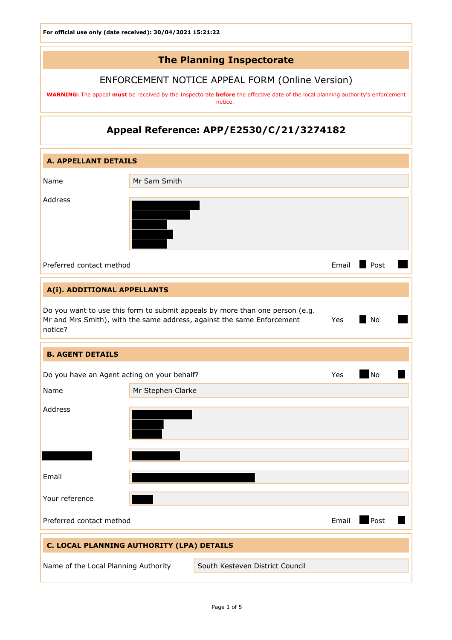# The Planning Inspectorate

## ENFORCEMENT NOTICE APPEAL FORM (Online Version)

WARNING: The appeal must be received by the Inspectorate before the effective date of the local planning authority's enforcement notice.

## Appeal Reference: APP/E2530/C/21/3274182

| <b>A. APPELLANT DETAILS</b>                                             |                   |                                                                                                                                                        |           |      |
|-------------------------------------------------------------------------|-------------------|--------------------------------------------------------------------------------------------------------------------------------------------------------|-----------|------|
| Name                                                                    | Mr Sam Smith      |                                                                                                                                                        |           |      |
| Address                                                                 |                   |                                                                                                                                                        |           |      |
| Preferred contact method                                                |                   |                                                                                                                                                        | Email     | Post |
| A(i). ADDITIONAL APPELLANTS                                             |                   |                                                                                                                                                        |           |      |
| notice?                                                                 |                   | Do you want to use this form to submit appeals by more than one person (e.g.<br>Mr and Mrs Smith), with the same address, against the same Enforcement | Yes       | No   |
| <b>B. AGENT DETAILS</b>                                                 |                   |                                                                                                                                                        |           |      |
| Do you have an Agent acting on your behalf?                             |                   | Yes                                                                                                                                                    | <b>No</b> |      |
| Name                                                                    | Mr Stephen Clarke |                                                                                                                                                        |           |      |
| Address                                                                 |                   |                                                                                                                                                        |           |      |
|                                                                         |                   |                                                                                                                                                        |           |      |
| Email                                                                   |                   |                                                                                                                                                        |           |      |
| Your reference                                                          |                   |                                                                                                                                                        |           |      |
| Preferred contact method                                                |                   |                                                                                                                                                        | Email     | Post |
| C. LOCAL PLANNING AUTHORITY (LPA) DETAILS                               |                   |                                                                                                                                                        |           |      |
| Name of the Local Planning Authority<br>South Kesteven District Council |                   |                                                                                                                                                        |           |      |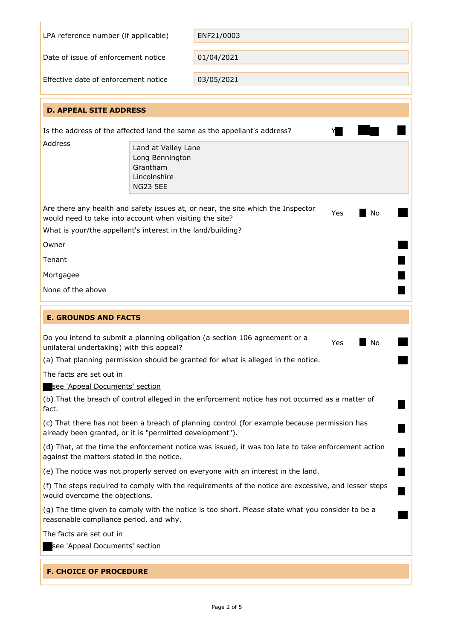|                                                                                                                                                                                                                         | LPA reference number (if applicable)<br>ENF21/0003                                    |                                                                                                      |  |  |
|-------------------------------------------------------------------------------------------------------------------------------------------------------------------------------------------------------------------------|---------------------------------------------------------------------------------------|------------------------------------------------------------------------------------------------------|--|--|
| Date of issue of enforcement notice                                                                                                                                                                                     |                                                                                       | 01/04/2021                                                                                           |  |  |
| Effective date of enforcement notice                                                                                                                                                                                    |                                                                                       | 03/05/2021                                                                                           |  |  |
| <b>D. APPEAL SITE ADDRESS</b>                                                                                                                                                                                           |                                                                                       |                                                                                                      |  |  |
| Is the address of the affected land the same as the appellant's address?                                                                                                                                                |                                                                                       |                                                                                                      |  |  |
| Address                                                                                                                                                                                                                 | Land at Valley Lane<br>Long Bennington<br>Grantham<br>Lincolnshire<br><b>NG23 5EE</b> |                                                                                                      |  |  |
| Are there any health and safety issues at, or near, the site which the Inspector<br>Yes<br>No<br>would need to take into account when visiting the site?<br>What is your/the appellant's interest in the land/building? |                                                                                       |                                                                                                      |  |  |
| Owner                                                                                                                                                                                                                   |                                                                                       |                                                                                                      |  |  |
| Tenant                                                                                                                                                                                                                  |                                                                                       |                                                                                                      |  |  |
| Mortgagee                                                                                                                                                                                                               |                                                                                       |                                                                                                      |  |  |
| None of the above                                                                                                                                                                                                       |                                                                                       |                                                                                                      |  |  |
| <b>E. GROUNDS AND FACTS</b>                                                                                                                                                                                             |                                                                                       |                                                                                                      |  |  |
| Do you intend to submit a planning obligation (a section 106 agreement or a<br>No<br>Yes<br>unilateral undertaking) with this appeal?                                                                                   |                                                                                       |                                                                                                      |  |  |
| The facts are set out in                                                                                                                                                                                                |                                                                                       | (a) That planning permission should be granted for what is alleged in the notice.                    |  |  |
|                                                                                                                                                                                                                         | see 'Appeal Documents' section                                                        |                                                                                                      |  |  |
| (b) That the breach of control alleged in the enforcement notice has not occurred as a matter of<br>fact.                                                                                                               |                                                                                       |                                                                                                      |  |  |
|                                                                                                                                                                                                                         |                                                                                       |                                                                                                      |  |  |
| already been granted, or it is "permitted development").                                                                                                                                                                |                                                                                       | (c) That there has not been a breach of planning control (for example because permission has         |  |  |
| against the matters stated in the notice.                                                                                                                                                                               |                                                                                       | (d) That, at the time the enforcement notice was issued, it was too late to take enforcement action  |  |  |
|                                                                                                                                                                                                                         |                                                                                       | (e) The notice was not properly served on everyone with an interest in the land.                     |  |  |
| would overcome the objections.                                                                                                                                                                                          |                                                                                       | (f) The steps required to comply with the requirements of the notice are excessive, and lesser steps |  |  |
| reasonable compliance period, and why.                                                                                                                                                                                  |                                                                                       | (g) The time given to comply with the notice is too short. Please state what you consider to be a    |  |  |
| The facts are set out in                                                                                                                                                                                                |                                                                                       |                                                                                                      |  |  |
| see 'Appeal Documents' section                                                                                                                                                                                          |                                                                                       |                                                                                                      |  |  |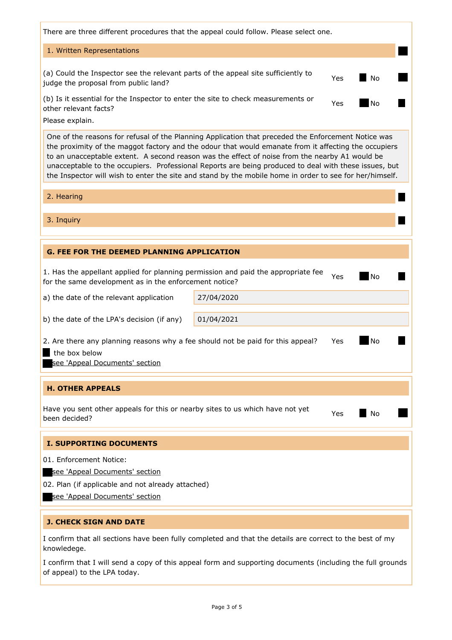| There are three different procedures that the appeal could follow. Please select one.                                                                                                                                                                                                                                                                                                                                                                                                                                             |  |  |  |  |
|-----------------------------------------------------------------------------------------------------------------------------------------------------------------------------------------------------------------------------------------------------------------------------------------------------------------------------------------------------------------------------------------------------------------------------------------------------------------------------------------------------------------------------------|--|--|--|--|
| 1. Written Representations                                                                                                                                                                                                                                                                                                                                                                                                                                                                                                        |  |  |  |  |
| (a) Could the Inspector see the relevant parts of the appeal site sufficiently to<br>No<br>Yes<br>judge the proposal from public land?                                                                                                                                                                                                                                                                                                                                                                                            |  |  |  |  |
| (b) Is it essential for the Inspector to enter the site to check measurements or<br><b>No</b><br>Yes<br>other relevant facts?                                                                                                                                                                                                                                                                                                                                                                                                     |  |  |  |  |
| Please explain.                                                                                                                                                                                                                                                                                                                                                                                                                                                                                                                   |  |  |  |  |
| One of the reasons for refusal of the Planning Application that preceded the Enforcement Notice was<br>the proximity of the maggot factory and the odour that would emanate from it affecting the occupiers<br>to an unacceptable extent. A second reason was the effect of noise from the nearby A1 would be<br>unacceptable to the occupiers. Professional Reports are being produced to deal with these issues, but<br>the Inspector will wish to enter the site and stand by the mobile home in order to see for her/himself. |  |  |  |  |
| 2. Hearing                                                                                                                                                                                                                                                                                                                                                                                                                                                                                                                        |  |  |  |  |
| 3. Inquiry                                                                                                                                                                                                                                                                                                                                                                                                                                                                                                                        |  |  |  |  |
|                                                                                                                                                                                                                                                                                                                                                                                                                                                                                                                                   |  |  |  |  |
| <b>G. FEE FOR THE DEEMED PLANNING APPLICATION</b>                                                                                                                                                                                                                                                                                                                                                                                                                                                                                 |  |  |  |  |
| 1. Has the appellant applied for planning permission and paid the appropriate fee<br><b>No</b><br>Yes<br>for the same development as in the enforcement notice?                                                                                                                                                                                                                                                                                                                                                                   |  |  |  |  |
| a) the date of the relevant application<br>27/04/2020                                                                                                                                                                                                                                                                                                                                                                                                                                                                             |  |  |  |  |
| 01/04/2021<br>b) the date of the LPA's decision (if any)                                                                                                                                                                                                                                                                                                                                                                                                                                                                          |  |  |  |  |
| No<br>2. Are there any planning reasons why a fee should not be paid for this appeal?<br>Yes<br>the box below<br><u>see 'Appeal Documents' section</u>                                                                                                                                                                                                                                                                                                                                                                            |  |  |  |  |
| <b>H. OTHER APPEALS</b>                                                                                                                                                                                                                                                                                                                                                                                                                                                                                                           |  |  |  |  |
| Have you sent other appeals for this or nearby sites to us which have not yet<br>No<br>Yes<br>been decided?                                                                                                                                                                                                                                                                                                                                                                                                                       |  |  |  |  |
| <b>I. SUPPORTING DOCUMENTS</b>                                                                                                                                                                                                                                                                                                                                                                                                                                                                                                    |  |  |  |  |
| 01. Enforcement Notice:                                                                                                                                                                                                                                                                                                                                                                                                                                                                                                           |  |  |  |  |
| see 'Appeal Documents' section                                                                                                                                                                                                                                                                                                                                                                                                                                                                                                    |  |  |  |  |
| 02. Plan (if applicable and not already attached)                                                                                                                                                                                                                                                                                                                                                                                                                                                                                 |  |  |  |  |
| see 'Appeal Documents' section                                                                                                                                                                                                                                                                                                                                                                                                                                                                                                    |  |  |  |  |
| <b>J. CHECK SIGN AND DATE</b>                                                                                                                                                                                                                                                                                                                                                                                                                                                                                                     |  |  |  |  |
| I confirm that all sections have been fully completed and that the details are correct to the best of my<br>knowledege.                                                                                                                                                                                                                                                                                                                                                                                                           |  |  |  |  |
| I confirm that I will send a copy of this appeal form and supporting documents (including the full grounds<br>of appeal) to the LPA today.                                                                                                                                                                                                                                                                                                                                                                                        |  |  |  |  |

Page 3 of 5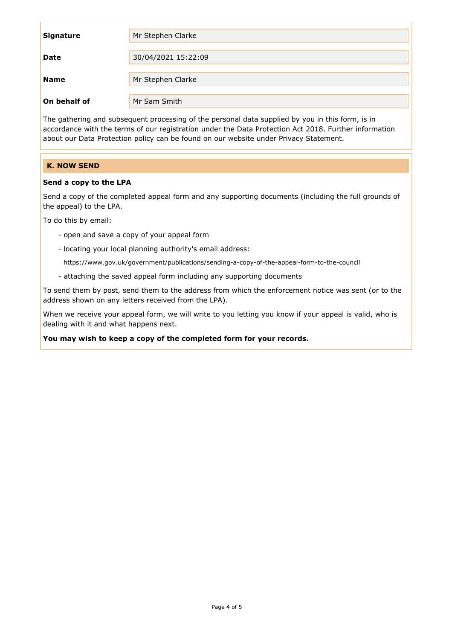| <b>Signature</b> | Mr Stephen Clarke   |
|------------------|---------------------|
|                  |                     |
| <b>Date</b>      | 30/04/2021 15:22:09 |
|                  |                     |
| <b>Name</b>      | Mr Stephen Clarke   |
|                  |                     |
| On behalf of     | Mr Sam Smith        |

The gathering and subsequent processing of the personal data supplied by you in this form, is in accordance with the terms of our registration under the Data Protection Act 2018. Further information about our Data Protection policy can be found on our website under Privacy Statement.

### K. NOW SEND

### Send a copy to the LPA

Send a copy of the completed appeal form and any supporting documents (including the full grounds of the appeal) to the LPA.

To do this by email:

- open and save a copy of your appeal form
- locating your local planning authority's email address:

https://www.gov.uk/government/publications/sending-a-copy-of-the-appeal-form-to-the-council

- attaching the saved appeal form including any supporting documents

To send them by post, send them to the address from which the enforcement notice was sent (or to the address shown on any letters received from the LPA).

When we receive your appeal form, we will write to you letting you know if your appeal is valid, who is dealing with it and what happens next.

You may wish to keep a copy of the completed form for your records.